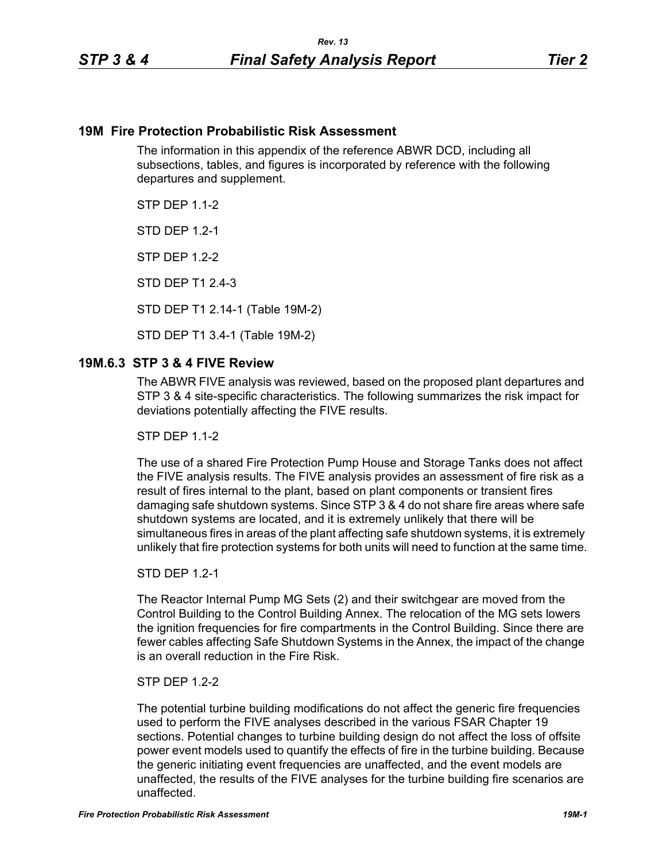### **19M Fire Protection Probabilistic Risk Assessment**

The information in this appendix of the reference ABWR DCD, including all subsections, tables, and figures is incorporated by reference with the following departures and supplement.

**STP DFP 1 1-2** 

**STD DFP 12-1** 

STP DEP 1.2-2

STD DEP T1 2.4-3

STD DEP T1 2.14-1 (Table 19M-2)

STD DEP T1 3.4-1 (Table 19M-2)

## **19M.6.3 STP 3 & 4 FIVE Review**

The ABWR FIVE analysis was reviewed, based on the proposed plant departures and STP 3 & 4 site-specific characteristics. The following summarizes the risk impact for deviations potentially affecting the FIVE results.

**STP DFP 1 1-2** 

The use of a shared Fire Protection Pump House and Storage Tanks does not affect the FIVE analysis results. The FIVE analysis provides an assessment of fire risk as a result of fires internal to the plant, based on plant components or transient fires damaging safe shutdown systems. Since STP 3 & 4 do not share fire areas where safe shutdown systems are located, and it is extremely unlikely that there will be simultaneous fires in areas of the plant affecting safe shutdown systems, it is extremely unlikely that fire protection systems for both units will need to function at the same time.

#### STD DEP 1.2-1

The Reactor Internal Pump MG Sets (2) and their switchgear are moved from the Control Building to the Control Building Annex. The relocation of the MG sets lowers the ignition frequencies for fire compartments in the Control Building. Since there are fewer cables affecting Safe Shutdown Systems in the Annex, the impact of the change is an overall reduction in the Fire Risk.

### STP DEP 1.2-2

The potential turbine building modifications do not affect the generic fire frequencies used to perform the FIVE analyses described in the various FSAR Chapter 19 sections. Potential changes to turbine building design do not affect the loss of offsite power event models used to quantify the effects of fire in the turbine building. Because the generic initiating event frequencies are unaffected, and the event models are unaffected, the results of the FIVE analyses for the turbine building fire scenarios are unaffected.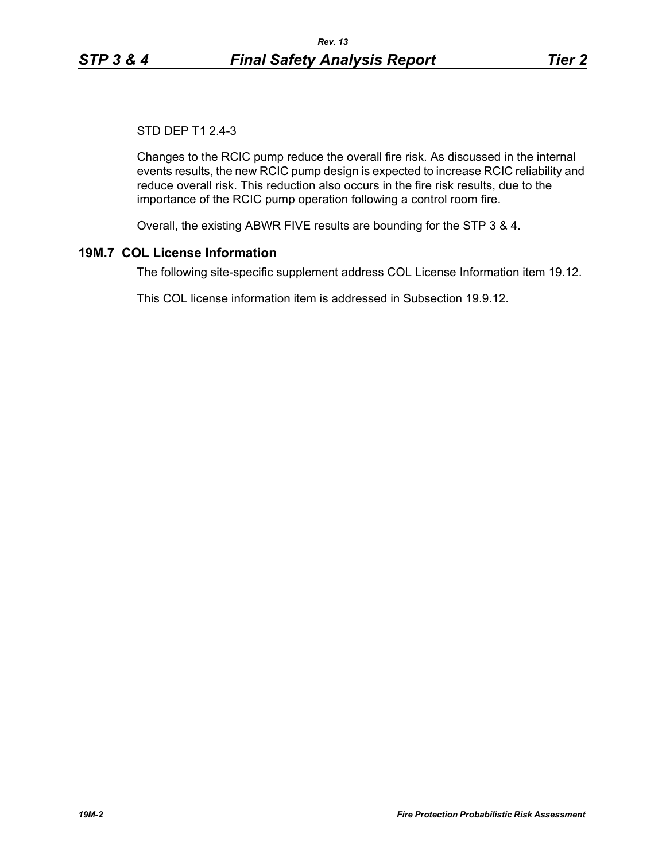# STD DEP T1 2.4-3

Changes to the RCIC pump reduce the overall fire risk. As discussed in the internal events results, the new RCIC pump design is expected to increase RCIC reliability and reduce overall risk. This reduction also occurs in the fire risk results, due to the importance of the RCIC pump operation following a control room fire.

Overall, the existing ABWR FIVE results are bounding for the STP 3 & 4.

## **19M.7 COL License Information**

The following site-specific supplement address COL License Information item 19.12.

This COL license information item is addressed in Subsection 19.9.12.